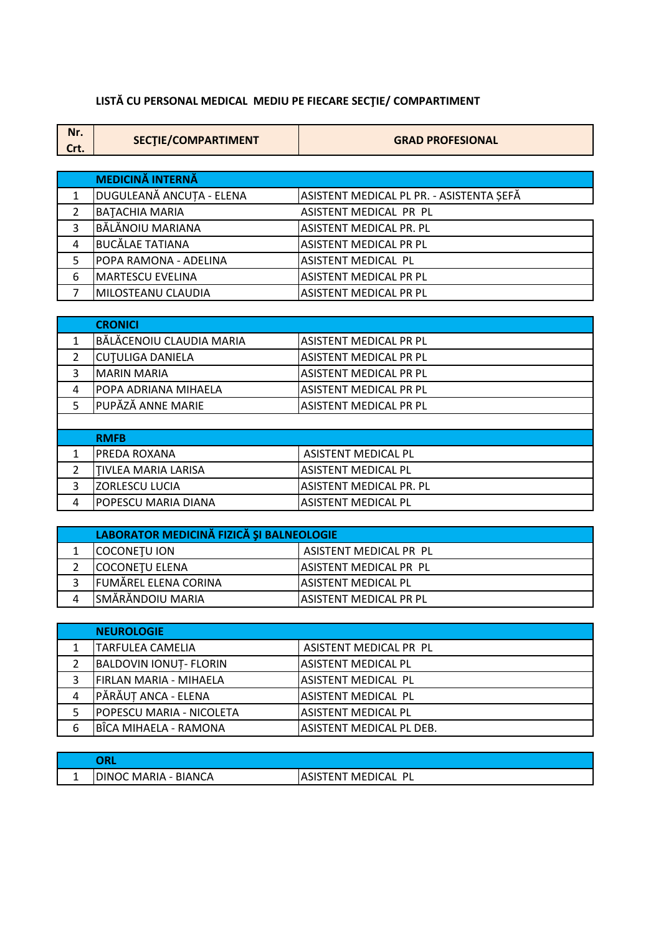## LISTĂ CU PERSONAL MEDICAL MEDIU PE FIECARE SECȚIE/ COMPARTIMENT

| Nr.  | SECTIE/COMPARTIMENT | <b>GRAD PROFESIONAL</b> |
|------|---------------------|-------------------------|
| Crt. |                     |                         |

|   | <b>MEDICINĂ INTERNĂ</b>      |                                          |
|---|------------------------------|------------------------------------------|
|   | DUGULEANĂ ANCUȚA - ELENA     | ASISTENT MEDICAL PL PR. - ASISTENTA SEFĂ |
|   | <b>BATACHIA MARIA</b>        | ASISTENT MEDICAL PR PL                   |
| 3 | <b>BĂLĂNOIU MARIANA</b>      | <b>ASISTENT MEDICAL PR. PL</b>           |
| 4 | <b>BUCĂLAE TATIANA</b>       | <b>ASISTENT MEDICAL PR PL</b>            |
|   | <b>POPA RAMONA - ADELINA</b> | <b>ASISTENT MEDICAL PL</b>               |
| 6 | MARTESCU EVELINA             | <b>ASISTENT MEDICAL PR PL</b>            |
|   | MILOSTEANU CLAUDIA           | <b>ASISTENT MEDICAL PR PL</b>            |

|   | <b>CRONICI</b>           |                                |
|---|--------------------------|--------------------------------|
|   | BĂLĂCENOIU CLAUDIA MARIA | <b>ASISTENT MEDICAL PR PL</b>  |
| 2 | <b>CUTULIGA DANIELA</b>  | <b>ASISTENT MEDICAL PR PL</b>  |
| 3 | <b>MARIN MARIA</b>       | <b>ASISTENT MEDICAL PR PL</b>  |
| 4 | POPA ADRIANA MIHAELA     | <b>ASISTENT MEDICAL PR PL</b>  |
| 5 | PUPĂZĂ ANNE MARIE        | <b>ASISTENT MEDICAL PR PL</b>  |
|   |                          |                                |
|   | <b>RMFB</b>              |                                |
| 1 | <b>PREDA ROXANA</b>      | <b>ASISTENT MEDICAL PL</b>     |
| 2 | TIVLEA MARIA LARISA      | <b>ASISTENT MEDICAL PL</b>     |
| 3 | ZORLESCU LUCIA           | <b>ASISTENT MEDICAL PR. PL</b> |
| 4 | POPESCU MARIA DIANA      | <b>ASISTENT MEDICAL PL</b>     |

| LABORATOR MEDICINĂ FIZICĂ ȘI BALNEOLOGIE |                               |  |
|------------------------------------------|-------------------------------|--|
| <b>COCONETU ION</b>                      | ASISTENT MEDICAL PR PL        |  |
| COCONETU ELENA                           | <b>ASISTENT MEDICAL PR PL</b> |  |
| FUMĂREL ELENA CORINA                     | lASISTENT MEDICAL PL          |  |
| <b>SMÄRÄNDOIU MARIA</b>                  | IASISTENT MEDICAL PR PL       |  |

|   | <b>NEUROLOGIE</b>               |                          |
|---|---------------------------------|--------------------------|
|   | <b>TARFULEA CAMELIA</b>         | ASISTENT MEDICAL PR PL   |
|   | <b>BALDOVIN IONUT- FLORIN</b>   | ASISTENT MEDICAL PL      |
| 3 | <b>IFIRLAN MARIA - MIHAELA</b>  | IASISTENT MEDICAL PL     |
| 4 | PĂRĂUT ANCA - ELENA             | ASISTENT MEDICAL PL      |
|   | <b>POPESCU MARIA - NICOLETA</b> | ASISTENT MEDICAL PL      |
| 6 | BÎCA MIHAELA - RAMONA           | ASISTENT MEDICAL PL DEB. |

|   | Ant                   |                                  |
|---|-----------------------|----------------------------------|
| - | BIANCA<br>)INOC MARIA | MEDICAL<br>D<br>EN1<br>Λ<br>כוכו |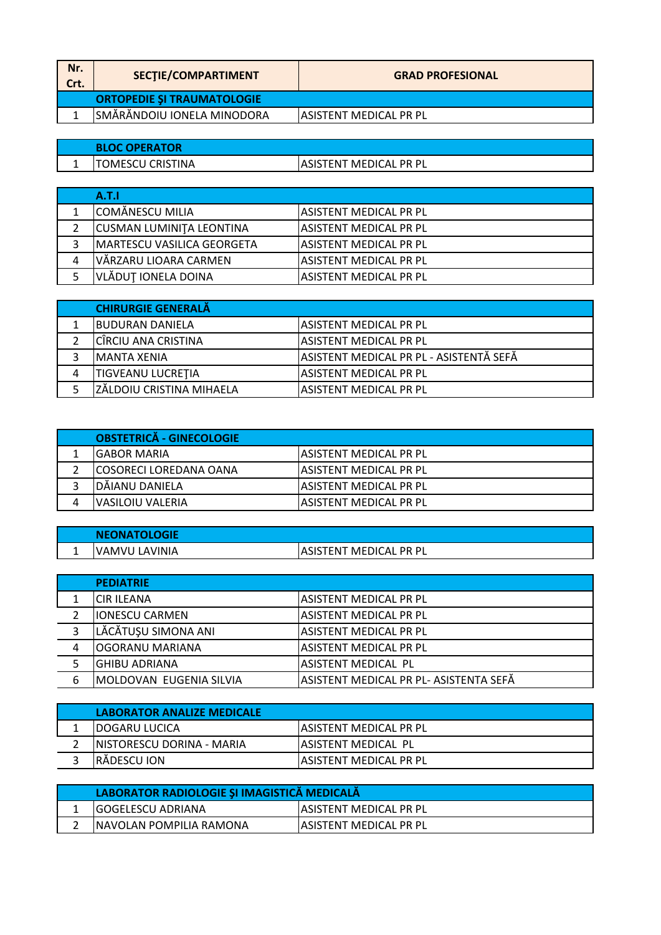| Nr.<br>Crt. | SECTIE/COMPARTIMENT               | <b>GRAD PROFESIONAL</b> |
|-------------|-----------------------------------|-------------------------|
|             | <b>ORTOPEDIE ȘI TRAUMATOLOGIE</b> |                         |
|             | SMĂRĂNDOIU IONELA MINODORA        | IASISTENT MEDICAL PR PL |

|   | <b>BLOC OPERATOR</b> |                         |
|---|----------------------|-------------------------|
| - | OMESCU CRISTINA      | IASISTENT MEDICAL PR PL |

|   | A.T.I                              |                         |
|---|------------------------------------|-------------------------|
|   | ICOMĂNESCU MILIA                   | IASISTENT MEDICAL PR PL |
|   | <b>CUSMAN LUMINITA LEONTINA</b>    | IASISTENT MEDICAL PR PL |
|   | <b>IMARTESCU VASILICA GEORGETA</b> | IASISTENT MEDICAL PR PL |
| 4 | VĂRZARU LIOARA CARMEN              | IASISTENT MEDICAL PR PL |
|   | VLĂDUȚ IONELA DOINA                | IASISTENT MEDICAL PR PL |

|   | <b>CHIRURGIE GENERALĂ</b>       |                                         |
|---|---------------------------------|-----------------------------------------|
|   | <b>IBUDURAN DANIELA</b>         | IASISTENT MEDICAL PR PL                 |
|   | CÎRCIU ANA CRISTINA             | IASISTENT MEDICAL PR PL                 |
|   | <b>IMANTA XENIA</b>             | ASISTENT MEDICAL PR PL - ASISTENTĂ SEFĂ |
| 4 | TIGVEANU LUCRETIA               | IASISTENT MEDICAL PR PL                 |
|   | <b>ZĂLDOIU CRISTINA MIHAELA</b> | <b>ASISTENT MEDICAL PR PL</b>           |

| <b>OBSTETRICĂ - GINECOLOGIE</b> |                         |
|---------------------------------|-------------------------|
| IGABOR MARIA                    | IASISTENT MEDICAL PR PL |
| ICOSORECI LOREDANA OANA         | IASISTENT MEDICAL PR PL |
| DĂIANU DANIELA                  | IASISTENT MEDICAL PR PL |
| IVASILOIU VALERIA               | IASISTENT MEDICAL PR PL |

| <b>NEONATOLOGIE</b> |                |                                        |
|---------------------|----------------|----------------------------------------|
| . .                 | IVAMVU LAVINIA | ' MEDICAL PR PL<br>tent<br>1515 1<br>Α |

|   | <b>PEDIATRIE</b>                |                                         |
|---|---------------------------------|-----------------------------------------|
|   | <b>ICIR ILEANA</b>              | lASISTENT MEDICAL PR PL                 |
|   | <b>IONESCU CARMEN</b>           | ASISTENT MEDICAL PR PL                  |
| 3 | LĂCĂTUȘU SIMONA ANI             | lASISTENT MEDICAL PR PL                 |
| 4 | OGORANU MARIANA                 | lASISTENT MEDICAL PR PL                 |
|   | IGHIBU ADRIANA                  | <b>ASISTENT MEDICAL PL</b>              |
| 6 | <b>IMOLDOVAN EUGENIA SILVIA</b> | lasistent medical pr pl- asistenta sefă |
|   |                                 |                                         |

| LABORATOR ANALIZE MEDICALE |                         |
|----------------------------|-------------------------|
| <b>IDOGARU LUCICA</b>      | IASISTENT MEDICAL PR PL |
| INISTORESCU DORINA - MARIA | IASISTENT MEDICAL PL    |
| IRADESCU ION               | IASISTENT MEDICAL PR PL |

| LABORATOR RADIOLOGIE ȘI IMAGISTICĂ MEDICALĂ |                                |  |
|---------------------------------------------|--------------------------------|--|
| <b>IGOGELESCU ADRIANA</b>                   | <b>IASISTENT MEDICAL PR PL</b> |  |
| INAVOLAN POMPILIA RAMONA                    | IASISTENT MEDICAL PR PL        |  |